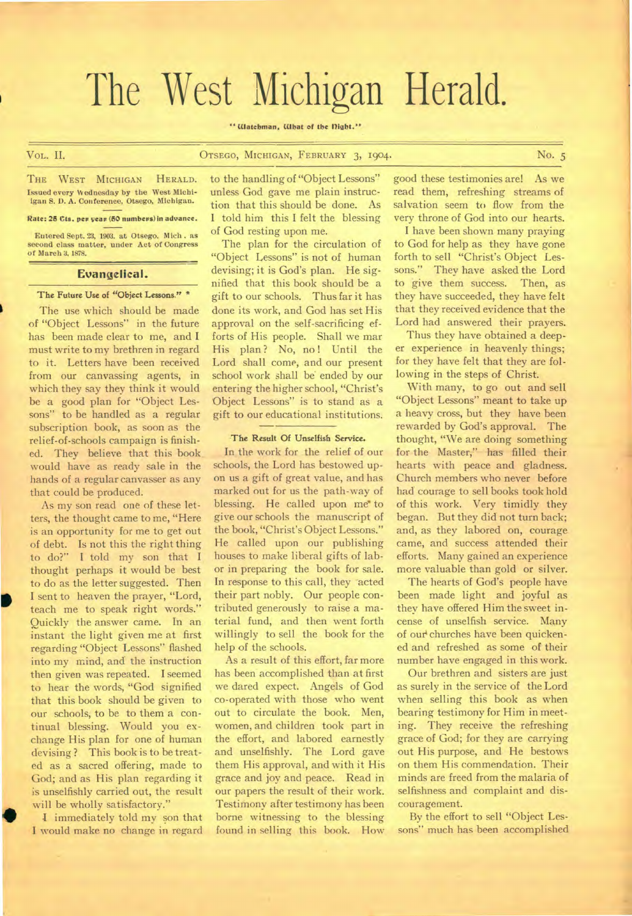# The West Michigan Herald.

#### " Watchman, What of the Dight."

#### Vol,. II. OTSEGO, MICHIGAN, FEBRUARY 3, 1904. No. 5

#### THE WEST MICHIGAN HERALD. Issued every Wednesday by the West Michiigan S. D. A. Conference, Otsego, Michigan.

#### Rate: 25 Cts. per year (50 numbers) in advance.

Entered Sept. 23, 1903. at Otsego. Mich . as second class matter, under Act of Congress of March 3, 1878.

#### **Evangelical.**

### **The Future Use of "Object Lessons." \***

The use which should be made of "Object Lessons" in the future has been made clear to me, and I must write to my brethren in regard to it. Letters have been received from our canvassing agents, in which they say they think it would be a good plan for "Object Lessons" to be handled as a regular subscription book, as soon as the relief-of-schools campaign is finished. They believe that this book would have as ready sale in the hands of a regular canvasser as any that could be produced.

As my son read one of these letters, the thought came to me, "Here is an opportunity for me to get out of debt. Is not this the right thing to do?" I told my son that I thought perhaps it would be best to do as the letter suggested. Then I sent to heaven the prayer, "Lord, teach me to speak right words." Quickly the answer came. In an instant the light given me at first regarding "Object Lessons" flashed into my mind, and the instruction then given was repeated. I seemed to hear the words, "God signified that this book should be given to our schools, to be to them a continual blessing. Would you exchange His plan for one of human devising ? This book is to be treated as a sacred offering, made to God; and as His plan regarding it is unselfishly carried out, the result will be wholly satisfactory."

I immediately told my son that I would make no change in regard to the handling of "Object Lessons" unless God gave me plain instruction that this should be done. As I told him this I felt the blessing of God resting upon me.

The plan for the circulation of "Object Lessons" is not of human devising; it is God's plan. He signified that this book should be a gift to our schools. Thus far it has done its work, and God has set His approval on the self-sacrificing efforts of His people. Shall we mar His plan? No, no! Until the Lord shall come, and our present school work shall be ended by our entering the higher school, "Christ's Object Lessons" is to stand as a gift to our educational institutions.

#### **The** Result Of Unselfish Service.

In the work for the relief of our schools, the Lord has bestowed upon us a gift of great value, and has marked out for us the path-way of blessing. He called upon me to give our schools the manuscript of the book, "Christ's Object Lessons." He called upon our publishing houses to make liberal gifts of labor in preparing the book for sale. In response to this call, they acted their part nobly. Our people contributed generously to raise a material fund, and then went forth willingly to sell the book for the help of the schools.

As a result of this effort, far more has been accomplished than at first we dared expect. Angels of God co-operated with those who went out to circulate the book. Men, women, and children took part in the effort, and labored earnestly and unselfishly. The Lord gave them His approval, and with it His grace and joy and peace. Read in our papers the result of their work. Testimony after testimony has been borne witnessing to the blessing found in selling this book. How

good these testimonies are! As we read them, refreshing streams of salvation seem to flow from the very throne of God into our hearts.

I have been shown many praying to God for help as they have gone forth to sell "Christ's Object Lessons." They have asked the Lord to give them success. Then, as they have succeeded, they have felt that they received evidence that the Lord had answered their prayers.

Thus they have obtained a deeper experience in heavenly things; for they have felt that they are following in the steps of Christ.

With many, to go out and sell "Object Lessons" meant to take up a heavy cross, but they have been rewarded by God's approval. The thought, "We are doing something for the Master," has filled their hearts with peace and gladness. Church members who never before had courage to sell books took hold of this work. Very timidly they began. But they did not turn back; and, as they labored on, courage came, and success attended their efforts. Many gained an experience more valuable than gold or silver.

The hearts of God's people have been made light and joyful as they have offered Him the sweet incense of unselfish service. Many of our churches have been quickened and refreshed as some of their number have engaged in this work.

Our brethren and sisters are just as surely in the service of the Lord when selling this book as when bearing testimony for Him in meeting. They receive the refreshing grace of God; for they are carrying out His purpose, and He bestows on them His commendation. Their minds are freed from the malaria of selfishness and complaint and discouragement.

By the effort to sell "Object Lessons" much has been accomplished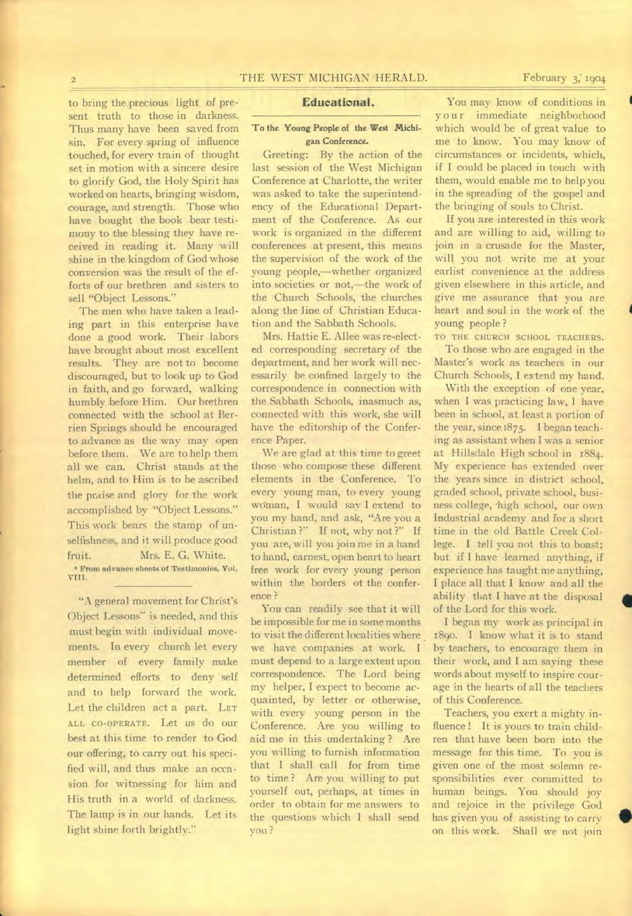to bring the precious light of present truth to those in darkness. Thus many have been saved from sin. For every spring of influence touched, for every train of thought set in motion with a sincere desire to glorify God, the Holy Spirit has worked on hearts, bringing wisdom, courage, and strength. Those who have bought the book bear testimony to the blessing they have received in reading it. Many will shine in the kingdom of God whose conversion was the result of the efforts of our brethren and sisters to sell "Object Lessons."

The men who have taken a leading part in this enterprise have done a good work. Their labors have brought about most excellent results. They are not to become discouraged, but to look up to God in faith, and go forward, walking humbly before Him. Our brethren connected with the school at Berrien Springs should be encouraged to advance as the way may open before them. We are to help them all we can. Christ stands at the helm, and to Him is to be ascribed the praise and glory for the work accomplished by "Object Lessons." This work bears the stamp of unselfishness, and it will produce good fruit. Mrs. E. G. White. \* From advance sheets of Testimonies, Vol. VIII.

"A general movement for Christ's Object Lessons" is needed, and this must begin with individual movements. In every church let every member of every family make determined efforts to deny self and to help forward the work. Let the children act a part. LET ALL CO-OPERATE. Let us do our best at this time to render to God our offering, to carry out his specified will, and thus make an occasion for witnessing for him and His truth in a world of darkness. The lamp is in our hands. Let its light shine forth brightly."

#### **Educational.**

#### To the Young People of the West Michigan Conference.

Greeting: By the action of the last session of the West Michigan Conference at Charlotte, the writer was asked to take the superintendency of the Educational Department of the Conference. As our work is organized in the different conferences at present, this means the supervision of the work of the young people,—whether organized into societies or not,—the work of the Church Schools, the churches along the line of Christian Education and the Sabbath Schools.

Mrs. Hattie E. Allee was re-elected corresponding secretary of the department, and her work will necessarily be confined largely to the correspondence in connection with the Sabbath Schools, inasmuch as, connected with this work, she will have the editorship of the Conference Paper.

We are glad at this time to greet those who compose these different elements in the Conference. To every young man; to every young woman, I would say I extend to you my hand, and ask, "Are you a Christian ?" If not, why not ?" If you are, will you join me in a hand to hand, earnest, open heart to heart free work for every young person within the borders of the conference ?

You can readily see that it will be impossible for me in some months to visit the different localities where we have companies at work. I must depend to a large extent upon correspondence. The Lord being my helper, I expect to become acquainted, by letter or otherwise, with every young person in the Conference. Are you willing to aid me in this undertaking ? Are you willing to furnish information that I shall call for from time to time? Are you willing to put yourself out, perhaps, at times in order to obtain for me answers to the questions which I shall send you ?

You may know of conditions in your immediate neighborhood which would be of great value to me to know. You may know of circumstances or incidents, which, if I could be placed in touch with them, would enable me to help you in the spreading of the gospel and the bringing of souls to Christ.

If you are interested in this work and are willing to aid, willing to join in a crusade for the Master, will you not write me at your earlist convenience at the address given elsewhere in this article, and give me assurance that you are heart and soul in the work of the young people ?

TO THE CHURCH SCHOOL TEACHERS. To those who are engaged in the Master's work as teachers in our Church Schools, I extend my hand.

With the exception of one year, when I was practicing law, I have been in school, at least a portion of the year, since 1875. I began teaching as assistant when I was a senior at Hillsdale High school in 1884. My experience has extended over the years since in district school, graded school, private school, business college, thigh school, our own Industrial academy and for a short time in the old Battle Creek College. I tell you not this to boast; but if I have learned anything, if experience has taught me anything, I place all that I know and all the ability that I have at the disposal of the Lord for this work.

I began my work as principal in 189o. I know what it is to stand by teachers, to encourage them in their work, and I am saying these words about myself to inspire courage in the hearts of all the teachers of this Conference.

Teachers, you exert a mighty influence ! It is yours to train children that have been born into the message for this time. To you is given one of the most solemn responsibilities ever committed to human beings. You should joy and rejoice in the privilege God has given you of assisting to carry on this work. Shall we not join

**1** 

•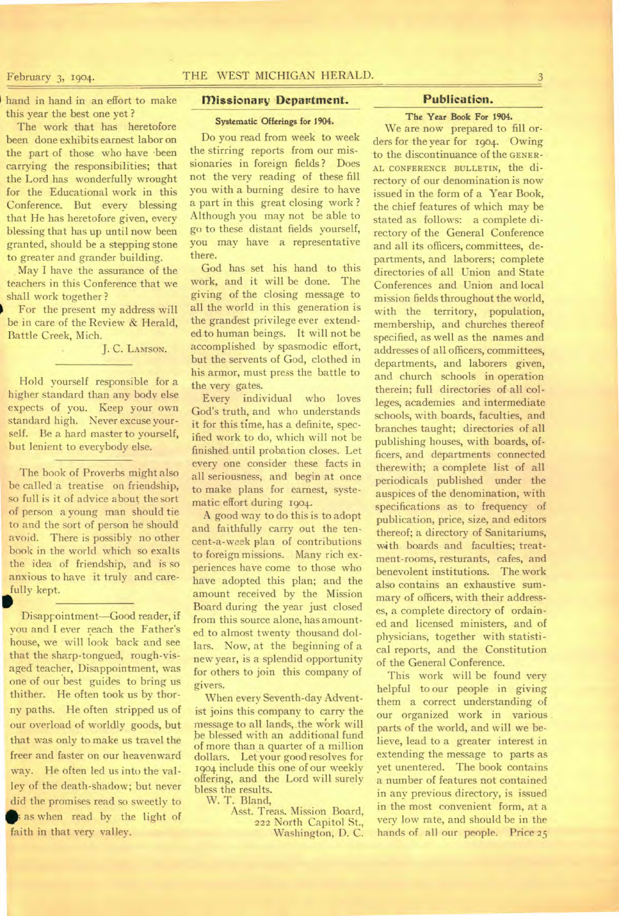hand in hand in an effort to make this year the best one yet ?

The work that has heretofore been done exhibits earnest labor on the part of those who have been carrying the responsibilities; that the Lord has wonderfully wrought for the Educational work in this Conference. But every blessing that He has heretofore given, every blessing that has up until now been granted, should be a stepping stone to greater and grander building.

May I have the assurance of the teachers in this Conference that we shall work together ?

For the present my address will be in care of the Review & Herald, Battle Creek, Mich.

J. C. LAMSON.

Hold yourself responsible for a higher standard than any body else expects of you. Keep your own standard high. Never excuse yourself. Be a hard master to yourself, but lenient to everybody else.

The book of Proverbs might also be called a treatise on friendship, so full is it of advice about the sort of person a young man should tie to and the sort of person he should avoid. There is possibly no other book in the world which so exalts the idea of friendship, and is so anxious to have it truly and carefully kept.

Disappointment—Good reader, if you and I ever reach the Father's house, we will look back and see that the sharp-tongued, rough-visaged teacher, Disappointment, was one of our best guides to bring us thither. He often took us by thorny paths. He often stripped us of our overload of worldly goods, but that was only to make us travel the freer and faster on our heavenward way. He often led us into the valley of the death-shadow; but never did the promises read so sweetly to s as when read by the light of faith in that very valley.

#### **missionary Department.**

**Systematic Offerings for 1904.** 

Do you read from week to week the stirring reports from our missionaries in foreign fields ? Does not the very reading of these fill you with a burning desire to have a part in this great closing work ? Although you may not be able to go to these distant fields yourself, you may have a representative there.

God has set his hand to this work, and it will be done. The giving of the closing message to all the world in this generation is the grandest privilege ever extended to human beings. It will not be accomplished by spasmodic effort, but the servents of God, clothed in his armor, must press the battle to the very gates.

Every individual who loves God's truth, and who understands it for this time, has a definite, specified work to do, which will not be finished until probation closes. Let every one consider these facts in all seriousness, and begin at once to make plans for earnest, systematic effort during 1904.

A good way to do this is to adopt and faithfully carry out the tencent-a-week plan of contributions to foreign missions. Many rich experiences have come to those who have adopted this plan; and the amount received by the Mission Board during the year just closed from this source alone, has amounted to almost twenty thousand dollars. Now, at the beginning of a new year, is a splendid opportunity for others to join this company of givers.

When every Seventh-day Adventist joins this company to carry the message to all lands,.the work will be blessed with an additional fund of more than a quarter of a million dollars. Let your good resolves for 1904 include this one of our weekly offering, and the Lord will surely bless the results.

W. **T.** Bland,

Asst. Treas. Mission Board, 222 North Capitol St., Washington, **D. C.** 

#### **Publication.**

### **The Year Book For 1904.**

We are now prepared to fill orders for the year for 1904. Owing to the discontinuance of the GENER-AL CONFERENCE BULLETIN, the directory of our denomination is now issued in the form of a Year Book, the chief features of which may be stated as follows: a complete directory of the General Conference and all its officers, committees, departments, and laborers; complete directories of all Union and State Conferences and Union and local mission fields throughout the world, with the territory, population, membership, and churches thereof specified, as well as the names and addresses of all officers, committees, departments, and laborers given, and church schools in operation therein; full directories of all colleges, academies and intermediate schools, with boards, faculties, and branches taught; directories of all publishing houses, with boards, officers, and departments connected therewith; a complete list of all periodicals published under the auspices of the denomination, with specifications as to frequency of publication, price, size, and editors thereof; a directory of Sanitariums, with boards and faculties; treatment-rooms, resturants, cafes, and benevolent institutions. The work also contains an exhaustive summary of officers, with their addresses, a complete directory of ordained and licensed ministers, and of physicians, together with statistical reports, and the Constitution of the General Conference.

This work will be found very helpful to our people in giving them a correct understanding of our organized work in various parts of the world, and will we believe, lead to a greater interest in extending the message to parts as yet unentered. The book contains a number of features not contained in any previous directory, is issued in the most convenient form, at a very low rate, and should be in the hands of all our people. Price 25